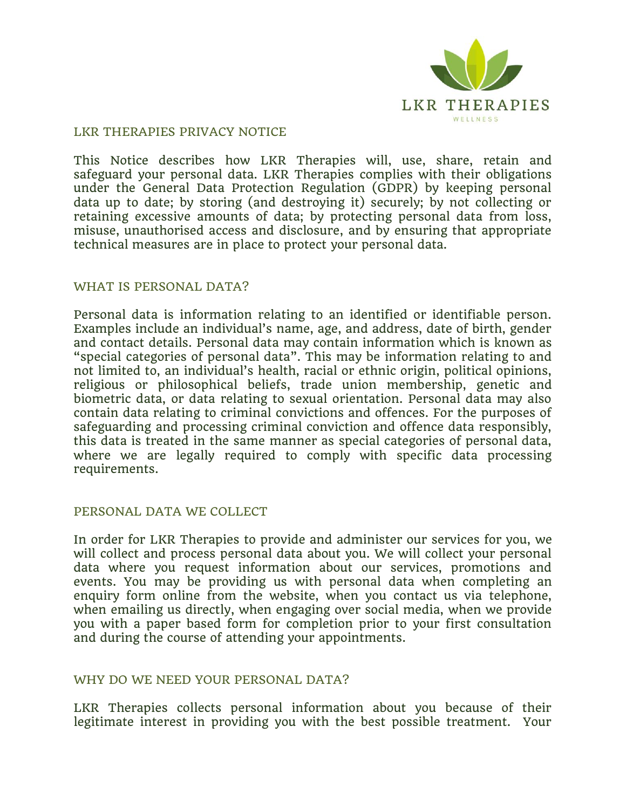

#### LKR THERAPIES PRIVACY NOTICE

This Notice describes how LKR Therapies will, use, share, retain and safeguard your personal data. LKR Therapies complies with their obligations under the General Data Protection Regulation (GDPR) by keeping personal data up to date; by storing (and destroying it) securely; by not collecting or retaining excessive amounts of data; by protecting personal data from loss, misuse, unauthorised access and disclosure, and by ensuring that appropriate technical measures are in place to protect your personal data.

#### WHAT IS PERSONAL DATA?

Personal data is information relating to an identified or identifiable person. Examples include an individual's name, age, and address, date of birth, gender and contact details. Personal data may contain information which is known as "special categories of personal data". This may be information relating to and not limited to, an individual's health, racial or ethnic origin, political opinions, religious or philosophical beliefs, trade union membership, genetic and biometric data, or data relating to sexual orientation. Personal data may also contain data relating to criminal convictions and offences. For the purposes of safeguarding and processing criminal conviction and offence data responsibly, this data is treated in the same manner as special categories of personal data, where we are legally required to comply with specific data processing requirements.

## PERSONAL DATA WE COLLECT

In order for LKR Therapies to provide and administer our services for you, we will collect and process personal data about you. We will collect your personal data where you request information about our services, promotions and events. You may be providing us with personal data when completing an enquiry form online from the website, when you contact us via telephone, when emailing us directly, when engaging over social media, when we provide you with a paper based form for completion prior to your first consultation and during the course of attending your appointments.

## WHY DO WE NEED YOUR PERSONAL DATA?

LKR Therapies collects personal information about you because of their legitimate interest in providing you with the best possible treatment. Your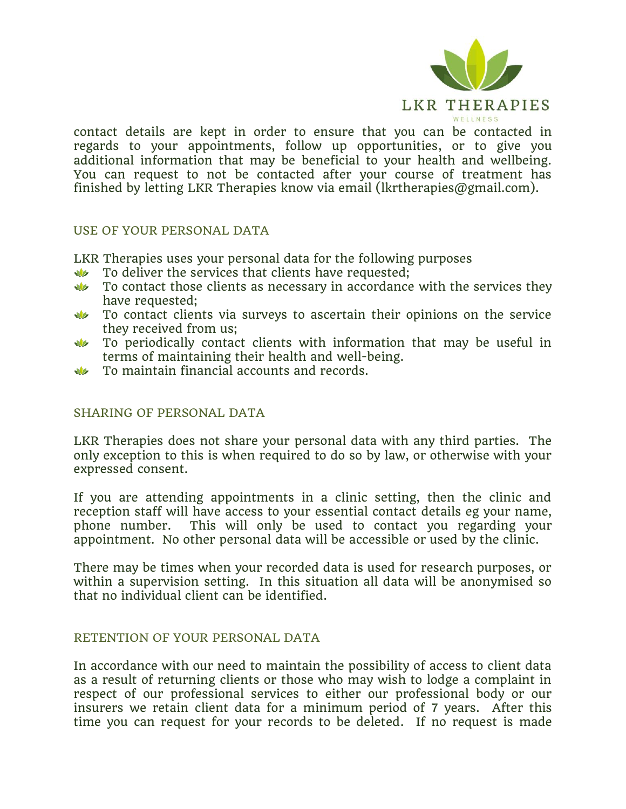

contact details are kept in order to ensure that you can be contacted in regards to your appointments, follow up opportunities, or to give you additional information that may be beneficial to your health and wellbeing. You can request to not be contacted after your course of treatment has finished by letting LKR Therapies know via email (lkrtherapies@gmail.com).

## USE OF YOUR PERSONAL DATA

LKR Therapies uses your personal data for the following purposes

- To deliver the services that clients have requested;  $\mathbf{v}$
- $\sqrt{2}$ To contact those clients as necessary in accordance with the services they have requested;
- To contact clients via surveys to ascertain their opinions on the service  $\mathcal{M}$ they received from us;
- To periodically contact clients with information that may be useful in terms of maintaining their health and well-being.
- **W** To maintain financial accounts and records.

## SHARING OF PERSONAL DATA

LKR Therapies does not share your personal data with any third parties. The only exception to this is when required to do so by law, or otherwise with your expressed consent.

If you are attending appointments in a clinic setting, then the clinic and reception staff will have access to your essential contact details eg your name, phone number. This will only be used to contact you regarding your appointment. No other personal data will be accessible or used by the clinic.

There may be times when your recorded data is used for research purposes, or within a supervision setting. In this situation all data will be anonymised so that no individual client can be identified.

## RETENTION OF YOUR PERSONAL DATA

In accordance with our need to maintain the possibility of access to client data as a result of returning clients or those who may wish to lodge a complaint in respect of our professional services to either our professional body or our insurers we retain client data for a minimum period of 7 years. After this time you can request for your records to be deleted. If no request is made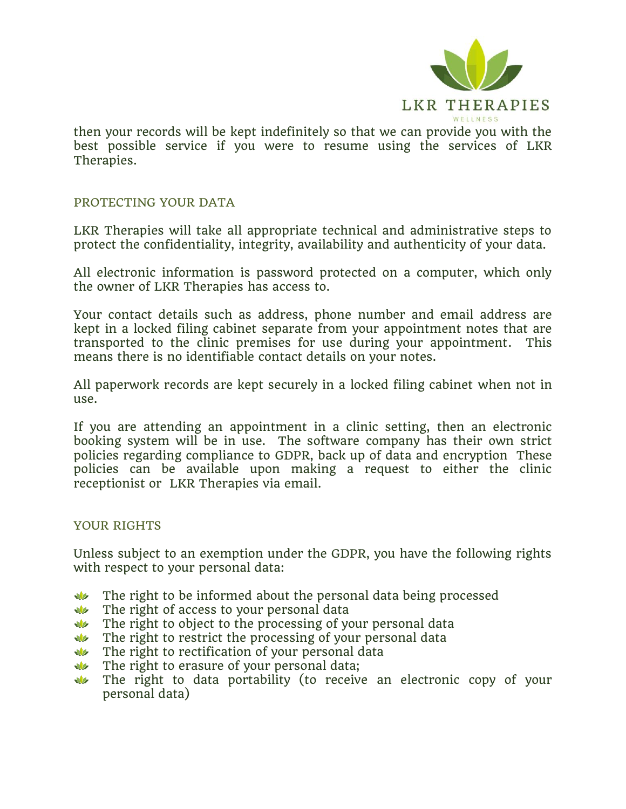

then your records will be kept indefinitely so that we can provide you with the best possible service if you were to resume using the services of LKR Therapies.

## PROTECTING YOUR DATA

LKR Therapies will take all appropriate technical and administrative steps to protect the confidentiality, integrity, availability and authenticity of your data.

All electronic information is password protected on a computer, which only the owner of LKR Therapies has access to.

Your contact details such as address, phone number and email address are kept in a locked filing cabinet separate from your appointment notes that are transported to the clinic premises for use during your appointment. This means there is no identifiable contact details on your notes.

All paperwork records are kept securely in a locked filing cabinet when not in use.

If you are attending an appointment in a clinic setting, then an electronic booking system will be in use. The software company has their own strict policies regarding compliance to GDPR, back up of data and encryption These policies can be available upon making a request to either the clinic receptionist or LKR Therapies via email.

# YOUR RIGHTS

Unless subject to an exemption under the GDPR, you have the following rights with respect to your personal data:

- The right to be informed about the personal data being processed
- The right of access to your personal data
- The right to object to the processing of your personal data
- $\mathbf{u}$  The right to restrict the processing of your personal data
- $\sqrt{12}$  The right to rectification of your personal data
- $\sqrt{2}$ The right to erasure of your personal data;
- The right to data portability (to receive an electronic copy of your  $\mathbf{u}$ personal data)